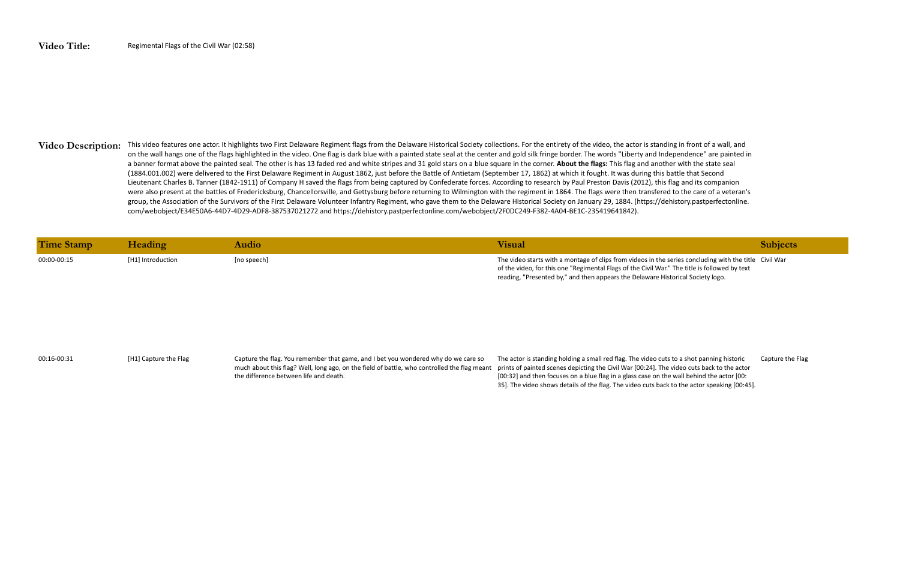## Video Description: This video features one actor. It highlights two First Delaware Regiment flags from the Delaware Historical Society collections. For the entirety of the video, the actor is standing in front of a wall, a on the wall hangs one of the flags highlighted in the video. One flag is dark blue with a painted state seal at the center and gold silk fringe border. The words "Liberty and Independence" are painted in a banner format above the painted seal. The other is has 13 faded red and white stripes and 31 gold stars on a blue square in the corner. **About the flags:** This flag and another with the state seal (1884.001.002) were delivered to the First Delaware Regiment in August 1862, just before the Battle of Antietam (September 17, 1862) at which it fought. It was during this battle that Second Lieutenant Charles B. Tanner (1842-1911) of Company H saved the flags from being captured by Confederate forces. According to research by Paul Preston Davis (2012), this flag and its companion were also present at the battles of Fredericksburg, Chancellorsville, and Gettysburg before returning to Wilmington with the regiment in 1864. The flags were then transfered to the care of a veteran's group, the Association of the Survivors of the First Delaware Volunteer Infantry Regiment, who gave them to the Delaware Historical Society on January 29, 1884. (https://dehistory.pastperfectonline. com/webobject/E34E50A6-44D7-4D29-ADF8-387537021272 and https://dehistory.pastperfectonline.com/webobject/2F0DC249-F382-4A04-BE1C-235419641842).

| Time Stamp  | Heading           | Audio       | Visual                                                                                                                                                                                                                                                                                     | <b>Subjects</b> |
|-------------|-------------------|-------------|--------------------------------------------------------------------------------------------------------------------------------------------------------------------------------------------------------------------------------------------------------------------------------------------|-----------------|
| 00:00-00:15 | [H1] Introduction | [no speech] | The video starts with a montage of clips from videos in the series concluding with the title Civil War<br>of the video, for this one "Regimental Flags of the Civil War." The title is followed by text<br>reading, "Presented by," and then appears the Delaware Historical Society logo. |                 |

00:16-00:31 [H1] Capture the Flag Capture the flag. You remember that game, and I bet you wondered why do we care so much about this flag? Well, long ago, on the field of battle, who controlled the flag meant prints of painted scenes depicting the Civil War [00:24]. The video cuts back to the actor the difference between life and death. The actor is standing holding a small red flag. The video cuts to a shot panning historic [00:32] and then focuses on a blue flag in a glass case on the wall behind the actor [00: 35]. The video shows details of the flag. The video cuts back to the actor speaking [00:45].

Capture the Flag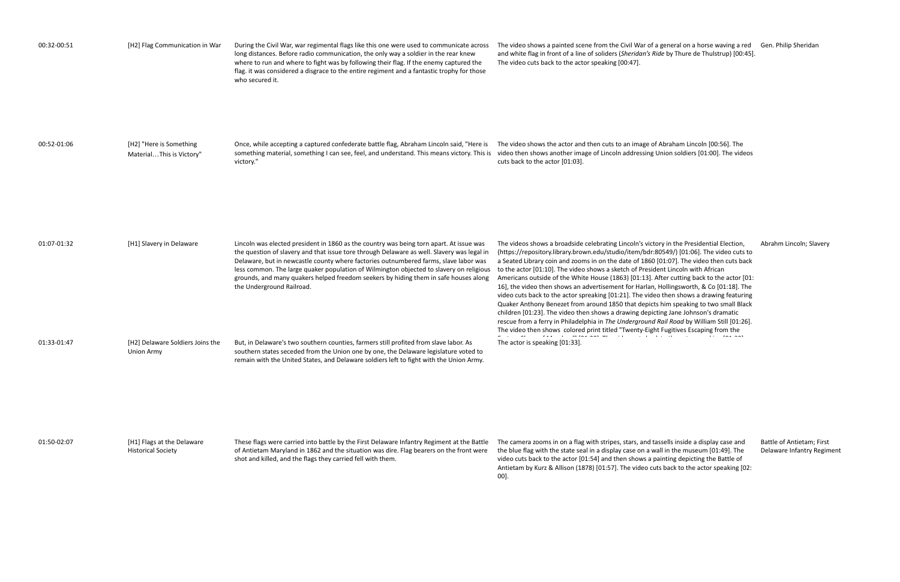| 00:32-00:51 | [H2] Flag Communication in War                          | During the Civil War, war regimental flags like this one were used to communicate across<br>long distances. Before radio communication, the only way a soldier in the rear knew<br>where to run and where to fight was by following their flag. If the enemy captured the<br>flag. it was considered a disgrace to the entire regiment and a fantastic trophy for those<br>who secured it.                                                                                                    | The video shows a painted scene from the Civil War of a general on a horse waving a red Gen. Philip Sheridan<br>and white flag in front of a line of soliders (Sheridan's Ride by Thure de Thulstrup) [00:45].<br>The video cuts back to the actor speaking [00:47].                                                                                                                                                                                                                                                                                                                                                                                                                                                                                                                                                                                                                                                                 |                                               |
|-------------|---------------------------------------------------------|-----------------------------------------------------------------------------------------------------------------------------------------------------------------------------------------------------------------------------------------------------------------------------------------------------------------------------------------------------------------------------------------------------------------------------------------------------------------------------------------------|--------------------------------------------------------------------------------------------------------------------------------------------------------------------------------------------------------------------------------------------------------------------------------------------------------------------------------------------------------------------------------------------------------------------------------------------------------------------------------------------------------------------------------------------------------------------------------------------------------------------------------------------------------------------------------------------------------------------------------------------------------------------------------------------------------------------------------------------------------------------------------------------------------------------------------------|-----------------------------------------------|
| 00:52-01:06 | [H2] "Here is Something<br>MaterialThis is Victory"     | Once, while accepting a captured confederate battle flag, Abraham Lincoln said, "Here is<br>something material, something I can see, feel, and understand. This means victory. This is<br>victory."                                                                                                                                                                                                                                                                                           | The video shows the actor and then cuts to an image of Abraham Lincoln [00:56]. The<br>video then shows another image of Lincoln addressing Union soldiers [01:00]. The videos<br>cuts back to the actor [01:03].                                                                                                                                                                                                                                                                                                                                                                                                                                                                                                                                                                                                                                                                                                                    |                                               |
| 01:07-01:32 | [H1] Slavery in Delaware                                | Lincoln was elected president in 1860 as the country was being torn apart. At issue was<br>the question of slavery and that issue tore through Delaware as well. Slavery was legal in<br>Delaware, but in newcastle county where factories outnumbered farms, slave labor was<br>less common. The large quaker population of Wilmington objected to slavery on religious<br>grounds, and many quakers helped freedom seekers by hiding them in safe houses along<br>the Underground Railroad. | The videos shows a broadside celebrating Lincoln's victory in the Presidential Election,<br>(https://repository.library.brown.edu/studio/item/bdr:80549/) [01:06]. The video cuts to<br>a Seated Library coin and zooms in on the date of 1860 [01:07]. The video then cuts back<br>to the actor [01:10]. The video shows a sketch of President Lincoln with African<br>Americans outside of the White House (1863) [01:13]. After cutting back to the actor [01:<br>16], the video then shows an advertisement for Harlan, Hollingsworth, & Co [01:18]. The<br>video cuts back to the actor spreaking [01:21]. The video then shows a drawing featuring<br>Quaker Anthony Benezet from around 1850 that depicts him speaking to two small Black<br>children [01:23]. The video then shows a drawing depicting Jane Johnson's dramatic<br>rescue from a ferry in Philadelphia in The Underground Rail Road by William Still [01:26]. | Abrahm Lincoln; Slav                          |
| 01:33-01:47 | [H2] Delaware Soldiers Joins the<br>Union Army          | But, in Delaware's two southern counties, farmers still profited from slave labor. As<br>southern states seceded from the Union one by one, the Delaware legislature voted to<br>remain with the United States, and Delaware soldiers left to fight with the Union Army.                                                                                                                                                                                                                      | The video then shows colored print titled "Twenty-Eight Fugitives Escaping from the<br>المعداد والمنافر والمنفرد المسافحهم وكفار والمتحارب والمنفر المنافر<br>The actor is speaking [01:33].                                                                                                                                                                                                                                                                                                                                                                                                                                                                                                                                                                                                                                                                                                                                         |                                               |
| 01:50-02:07 | [H1] Flags at the Delaware<br><b>Historical Society</b> | These flags were carried into battle by the First Delaware Infantry Regiment at the Battle<br>of Antietam Maryland in 1862 and the situation was dire. Flag bearers on the front were<br>shot and killed, and the flags they carried fell with them.                                                                                                                                                                                                                                          | The camera zooms in on a flag with stripes, stars, and tassells inside a display case and<br>the blue flag with the state seal in a display case on a wall in the museum [01:49]. The<br>video cuts back to the actor [01:54] and then shows a painting depicting the Battle of<br>Antietam by Kurz & Allison (1878) [01:57]. The video cuts back to the actor speaking [02:<br>00].                                                                                                                                                                                                                                                                                                                                                                                                                                                                                                                                                 | Battle of Antietam; F<br>Delaware Infantry Re |

Abrahm Lincoln; Slavery

Battle of Antietam; First Delaware Infantry Regiment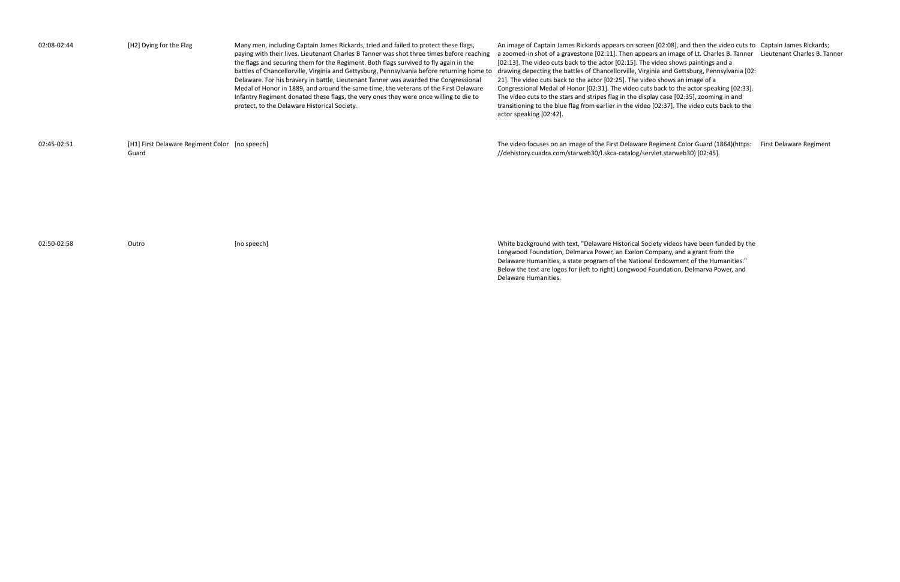| 02:08-02:44 | [H2] Dying for the Flag                                 | Many men, including Captain James Rickards, tried and failed to protect these flags,<br>paying with their lives. Lieutenant Charles B Tanner was shot three times before reaching<br>the flags and securing them for the Regiment. Both flags survived to fly again in the<br>battles of Chancellorville, Virginia and Gettysburg, Pennsylvania before returning home to<br>Delaware. For his bravery in battle, Lieutenant Tanner was awarded the Congressional<br>Medal of Honor in 1889, and around the same time, the veterans of the First Delaware<br>Infantry Regiment donated these flags, the very ones they were once willing to die to<br>protect, to the Delaware Historical Society. | An image of Captain James Rickards appears on screen [02:08], and then the video cuts to Captain James Rickards;<br>a zoomed-in shot of a gravestone [02:11]. Then appears an image of Lt. Charles B. Tanner Lieutenant Charles B. Tanner<br>[02:13]. The video cuts back to the actor [02:15]. The video shows paintings and a<br>drawing depecting the battles of Chancellorville, Virginia and Gettsburg, Pennsylvania [02:<br>21]. The video cuts back to the actor [02:25]. The video shows an image of a<br>Congressional Medal of Honor [02:31]. The video cuts back to the actor speaking [02:33].<br>The video cuts to the stars and stripes flag in the display case [02:35], zooming in and<br>transitioning to the blue flag from earlier in the video [02:37]. The video cuts back to the<br>actor speaking [02:42]. |                         |
|-------------|---------------------------------------------------------|---------------------------------------------------------------------------------------------------------------------------------------------------------------------------------------------------------------------------------------------------------------------------------------------------------------------------------------------------------------------------------------------------------------------------------------------------------------------------------------------------------------------------------------------------------------------------------------------------------------------------------------------------------------------------------------------------|-----------------------------------------------------------------------------------------------------------------------------------------------------------------------------------------------------------------------------------------------------------------------------------------------------------------------------------------------------------------------------------------------------------------------------------------------------------------------------------------------------------------------------------------------------------------------------------------------------------------------------------------------------------------------------------------------------------------------------------------------------------------------------------------------------------------------------------|-------------------------|
| 02:45-02:51 | [H1] First Delaware Regiment Color [no speech]<br>Guard |                                                                                                                                                                                                                                                                                                                                                                                                                                                                                                                                                                                                                                                                                                   | The video focuses on an image of the First Delaware Regiment Color Guard (1864)(https:<br>//dehistory.cuadra.com/starweb30/l.skca-catalog/servlet.starweb30) [02:45].                                                                                                                                                                                                                                                                                                                                                                                                                                                                                                                                                                                                                                                             | First Delaware Regiment |
| 02:50-02:58 | Outro                                                   | [no speech]                                                                                                                                                                                                                                                                                                                                                                                                                                                                                                                                                                                                                                                                                       | White background with text, "Delaware Historical Society videos have been funded by the<br>Longwood Foundation, Delmarva Power, an Exelon Company, and a grant from the<br>Delaware Humanities, a state program of the National Endowment of the Humanities."                                                                                                                                                                                                                                                                                                                                                                                                                                                                                                                                                                     |                         |

ideos have been funded by the Iny, and a grant from the owment of the Humanities." Below the text are logos for (left to right) Longwood Foundation, Delmarva Power, and

Delaware Humanities.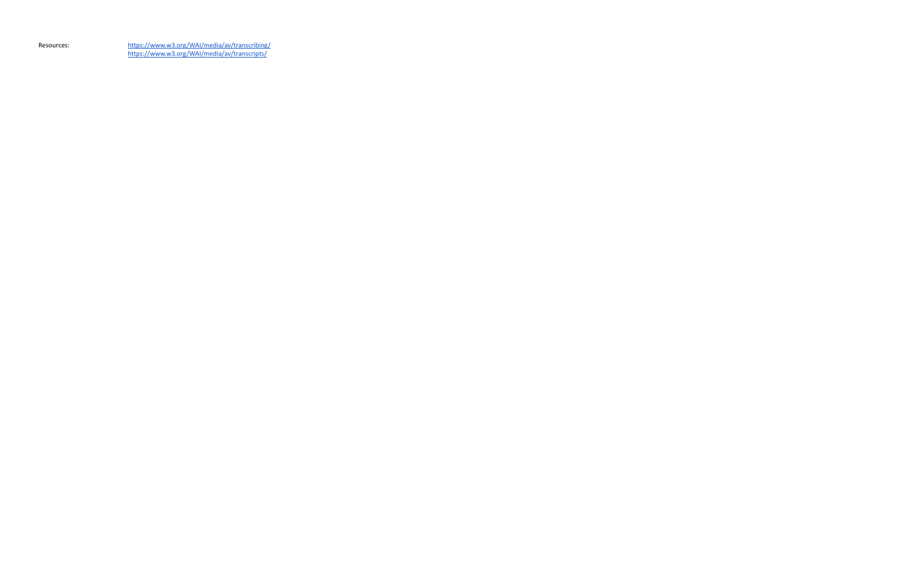Resources: <https://www.w3.org/WAI/media/av/transcribing/> [https://www.w3.org/WAI/media/av/transcripts/](https://www.w3.org/WAI/media/av/transcribing/)